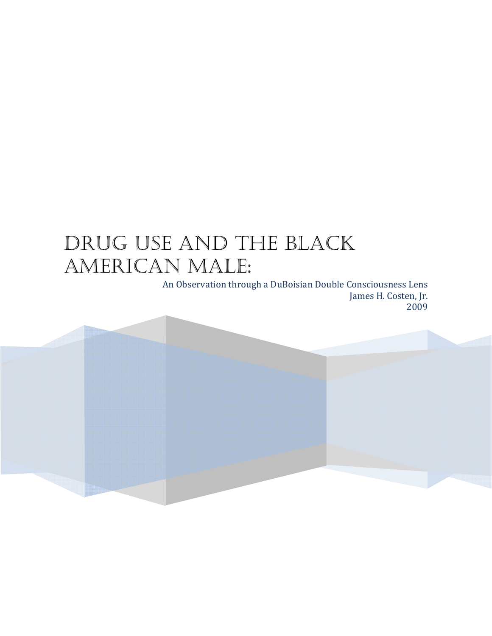# DRUG USE AND THE BLACK AMERICAN MALE:

An Observation through a DuBoisian Double Consciousness Lens James H. Costen, Jr. 2009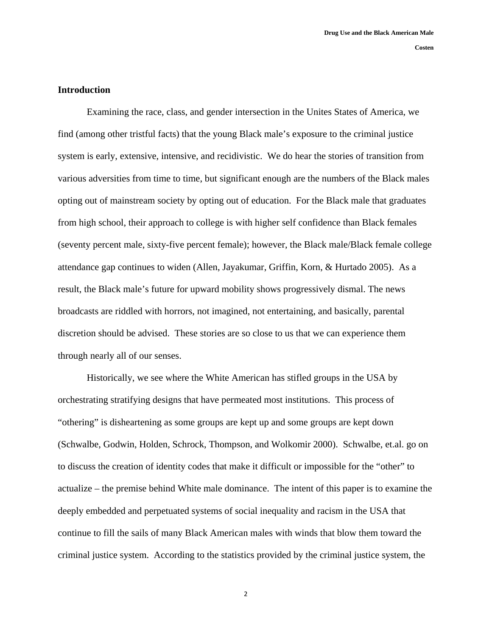## **Introduction**

Examining the race, class, and gender intersection in the Unites States of America, we find (among other tristful facts) that the young Black male's exposure to the criminal justice system is early, extensive, intensive, and recidivistic. We do hear the stories of transition from various adversities from time to time, but significant enough are the numbers of the Black males opting out of mainstream society by opting out of education. For the Black male that graduates from high school, their approach to college is with higher self confidence than Black females (seventy percent male, sixty-five percent female); however, the Black male/Black female college attendance gap continues to widen (Allen, Jayakumar, Griffin, Korn, & Hurtado 2005). As a result, the Black male's future for upward mobility shows progressively dismal. The news broadcasts are riddled with horrors, not imagined, not entertaining, and basically, parental discretion should be advised. These stories are so close to us that we can experience them through nearly all of our senses.

Historically, we see where the White American has stifled groups in the USA by orchestrating stratifying designs that have permeated most institutions. This process of "othering" is disheartening as some groups are kept up and some groups are kept down (Schwalbe, Godwin, Holden, Schrock, Thompson, and Wolkomir 2000). Schwalbe, et.al. go on to discuss the creation of identity codes that make it difficult or impossible for the "other" to actualize – the premise behind White male dominance. The intent of this paper is to examine the deeply embedded and perpetuated systems of social inequality and racism in the USA that continue to fill the sails of many Black American males with winds that blow them toward the criminal justice system. According to the statistics provided by the criminal justice system, the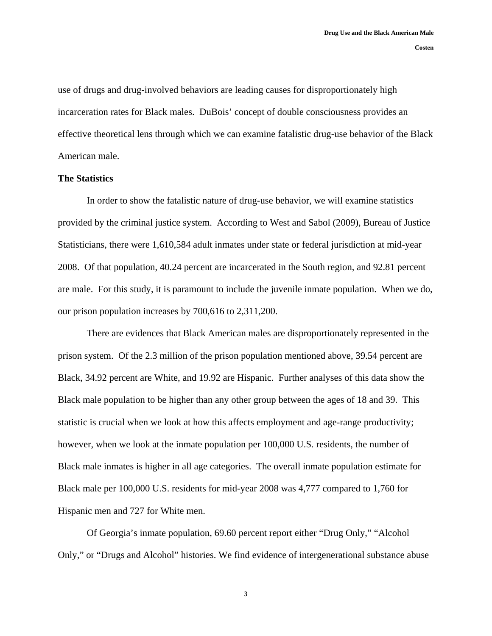use of drugs and drug-involved behaviors are leading causes for disproportionately high incarceration rates for Black males. DuBois' concept of double consciousness provides an effective theoretical lens through which we can examine fatalistic drug-use behavior of the Black American male.

### **The Statistics**

In order to show the fatalistic nature of drug-use behavior, we will examine statistics provided by the criminal justice system. According to West and Sabol (2009), Bureau of Justice Statisticians, there were 1,610,584 adult inmates under state or federal jurisdiction at mid-year 2008. Of that population, 40.24 percent are incarcerated in the South region, and 92.81 percent are male. For this study, it is paramount to include the juvenile inmate population. When we do, our prison population increases by 700,616 to 2,311,200.

There are evidences that Black American males are disproportionately represented in the prison system. Of the 2.3 million of the prison population mentioned above, 39.54 percent are Black, 34.92 percent are White, and 19.92 are Hispanic. Further analyses of this data show the Black male population to be higher than any other group between the ages of 18 and 39. This statistic is crucial when we look at how this affects employment and age-range productivity; however, when we look at the inmate population per 100,000 U.S. residents, the number of Black male inmates is higher in all age categories. The overall inmate population estimate for Black male per 100,000 U.S. residents for mid-year 2008 was 4,777 compared to 1,760 for Hispanic men and 727 for White men.

Of Georgia's inmate population, 69.60 percent report either "Drug Only," "Alcohol Only," or "Drugs and Alcohol" histories. We find evidence of intergenerational substance abuse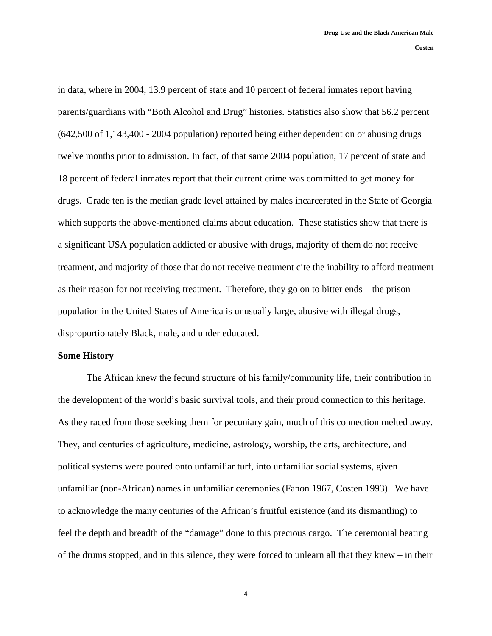in data, where in 2004, 13.9 percent of state and 10 percent of federal inmates report having parents/guardians with "Both Alcohol and Drug" histories. Statistics also show that 56.2 percent (642,500 of 1,143,400 - 2004 population) reported being either dependent on or abusing drugs twelve months prior to admission. In fact, of that same 2004 population, 17 percent of state and 18 percent of federal inmates report that their current crime was committed to get money for drugs. Grade ten is the median grade level attained by males incarcerated in the State of Georgia which supports the above-mentioned claims about education. These statistics show that there is a significant USA population addicted or abusive with drugs, majority of them do not receive treatment, and majority of those that do not receive treatment cite the inability to afford treatment as their reason for not receiving treatment. Therefore, they go on to bitter ends – the prison population in the United States of America is unusually large, abusive with illegal drugs, disproportionately Black, male, and under educated.

#### **Some History**

The African knew the fecund structure of his family/community life, their contribution in the development of the world's basic survival tools, and their proud connection to this heritage. As they raced from those seeking them for pecuniary gain, much of this connection melted away. They, and centuries of agriculture, medicine, astrology, worship, the arts, architecture, and political systems were poured onto unfamiliar turf, into unfamiliar social systems, given unfamiliar (non-African) names in unfamiliar ceremonies (Fanon 1967, Costen 1993). We have to acknowledge the many centuries of the African's fruitful existence (and its dismantling) to feel the depth and breadth of the "damage" done to this precious cargo. The ceremonial beating of the drums stopped, and in this silence, they were forced to unlearn all that they knew – in their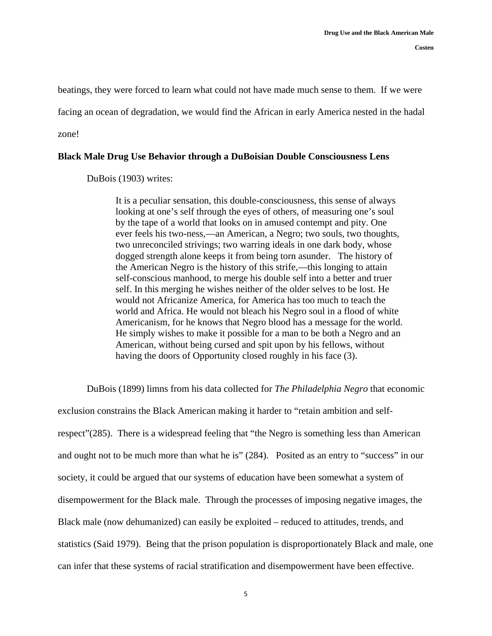beatings, they were forced to learn what could not have made much sense to them. If we were facing an ocean of degradation, we would find the African in early America nested in the hadal zone!

## **Black Male Drug Use Behavior through a DuBoisian Double Consciousness Lens**

DuBois (1903) writes:

It is a peculiar sensation, this double-consciousness, this sense of always looking at one's self through the eyes of others, of measuring one's soul by the tape of a world that looks on in amused contempt and pity. One ever feels his two-ness,—an American, a Negro; two souls, two thoughts, two unreconciled strivings; two warring ideals in one dark body, whose dogged strength alone keeps it from being torn asunder.The history of the American Negro is the history of this strife,—this longing to attain self-conscious manhood, to merge his double self into a better and truer self. In this merging he wishes neither of the older selves to be lost. He would not Africanize America, for America has too much to teach the world and Africa. He would not bleach his Negro soul in a flood of white Americanism, for he knows that Negro blood has a message for the world. He simply wishes to make it possible for a man to be both a Negro and an American, without being cursed and spit upon by his fellows, without having the doors of Opportunity closed roughly in his face (3).

DuBois (1899) limns from his data collected for *The Philadelphia Negro* that economic

exclusion constrains the Black American making it harder to "retain ambition and selfrespect"(285). There is a widespread feeling that "the Negro is something less than American and ought not to be much more than what he is" (284). Posited as an entry to "success" in our society, it could be argued that our systems of education have been somewhat a system of disempowerment for the Black male. Through the processes of imposing negative images, the Black male (now dehumanized) can easily be exploited – reduced to attitudes, trends, and statistics (Said 1979). Being that the prison population is disproportionately Black and male, one can infer that these systems of racial stratification and disempowerment have been effective.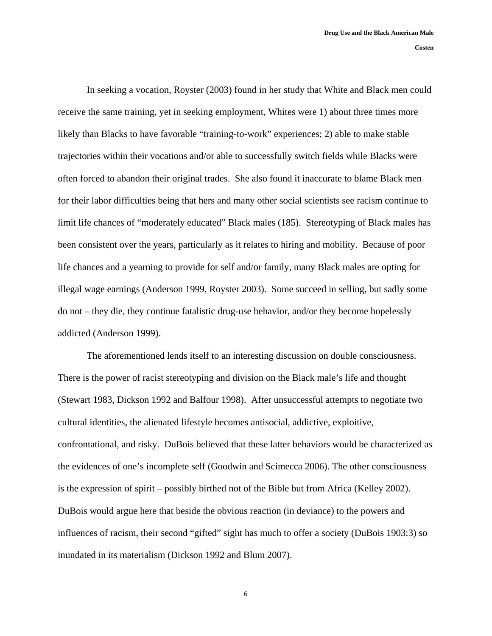**Costen** 

In seeking a vocation, Royster (2003) found in her study that White and Black men could receive the same training, yet in seeking employment, Whites were 1) about three times more likely than Blacks to have favorable "training-to-work" experiences; 2) able to make stable trajectories within their vocations and/or able to successfully switch fields while Blacks were often forced to abandon their original trades. She also found it inaccurate to blame Black men for their labor difficulties being that hers and many other social scientists see racism continue to limit life chances of "moderately educated" Black males (185). Stereotyping of Black males has been consistent over the years, particularly as it relates to hiring and mobility. Because of poor

life chances and a yearning to provide for self and/or family, many Black males are opting for illegal wage earnings (Anderson 1999, Royster 2003). Some succeed in selling, but sadly some do not – they die, they continue fatalistic drug-use behavior, and/or they become hopelessly addicted (Anderson 1999).

The aforementioned lends itself to an interesting discussion on double consciousness. There is the power of racist stereotyping and division on the Black male's life and thought (Stewart 1983, Dickson 1992 and Balfour 1998). After unsuccessful attempts to negotiate two cultural identities, the alienated lifestyle becomes antisocial, addictive, exploitive, confrontational, and risky. DuBois believed that these latter behaviors would be characterized as the evidences of one's incomplete self (Goodwin and Scimecca 2006). The other consciousness is the expression of spirit – possibly birthed not of the Bible but from Africa (Kelley 2002). DuBois would argue here that beside the obvious reaction (in deviance) to the powers and influences of racism, their second "gifted" sight has much to offer a society (DuBois 1903:3) so inundated in its materialism (Dickson 1992 and Blum 2007).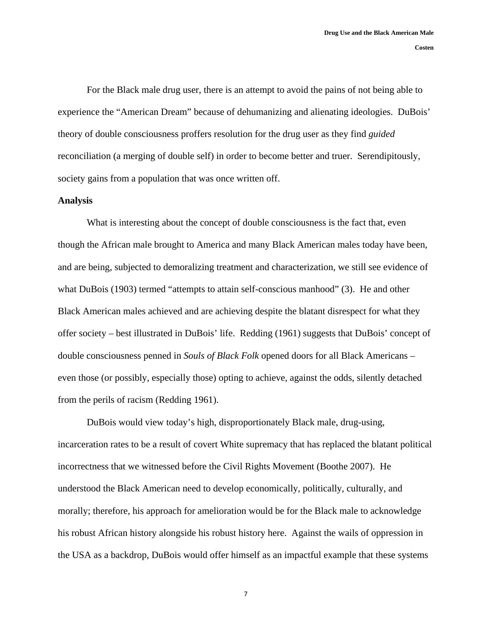For the Black male drug user, there is an attempt to avoid the pains of not being able to experience the "American Dream" because of dehumanizing and alienating ideologies. DuBois' theory of double consciousness proffers resolution for the drug user as they find *guided* reconciliation (a merging of double self) in order to become better and truer. Serendipitously, society gains from a population that was once written off.

### **Analysis**

What is interesting about the concept of double consciousness is the fact that, even though the African male brought to America and many Black American males today have been, and are being, subjected to demoralizing treatment and characterization, we still see evidence of what DuBois (1903) termed "attempts to attain self-conscious manhood" (3). He and other Black American males achieved and are achieving despite the blatant disrespect for what they offer society – best illustrated in DuBois' life. Redding (1961) suggests that DuBois' concept of double consciousness penned in *Souls of Black Folk* opened doors for all Black Americans – even those (or possibly, especially those) opting to achieve, against the odds, silently detached from the perils of racism (Redding 1961).

DuBois would view today's high, disproportionately Black male, drug-using, incarceration rates to be a result of covert White supremacy that has replaced the blatant political incorrectness that we witnessed before the Civil Rights Movement (Boothe 2007). He understood the Black American need to develop economically, politically, culturally, and morally; therefore, his approach for amelioration would be for the Black male to acknowledge his robust African history alongside his robust history here. Against the wails of oppression in the USA as a backdrop, DuBois would offer himself as an impactful example that these systems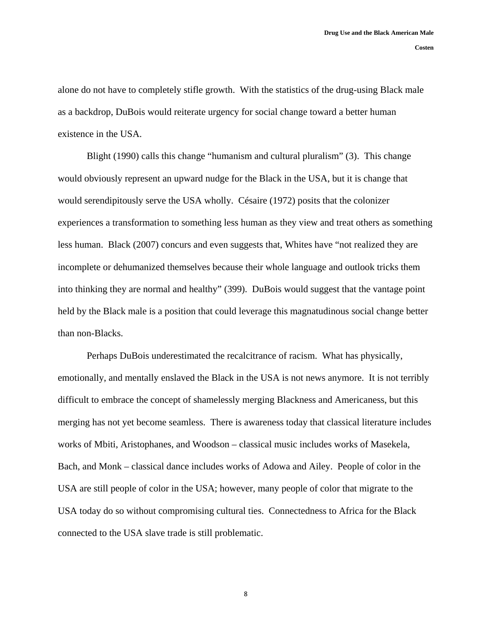alone do not have to completely stifle growth. With the statistics of the drug-using Black male as a backdrop, DuBois would reiterate urgency for social change toward a better human existence in the USA.

Blight (1990) calls this change "humanism and cultural pluralism" (3). This change would obviously represent an upward nudge for the Black in the USA, but it is change that would serendipitously serve the USA wholly. Césaire (1972) posits that the colonizer experiences a transformation to something less human as they view and treat others as something less human. Black (2007) concurs and even suggests that, Whites have "not realized they are incomplete or dehumanized themselves because their whole language and outlook tricks them into thinking they are normal and healthy" (399). DuBois would suggest that the vantage point held by the Black male is a position that could leverage this magnatudinous social change better than non-Blacks.

Perhaps DuBois underestimated the recalcitrance of racism. What has physically, emotionally, and mentally enslaved the Black in the USA is not news anymore. It is not terribly difficult to embrace the concept of shamelessly merging Blackness and Americaness, but this merging has not yet become seamless. There is awareness today that classical literature includes works of Mbiti, Aristophanes, and Woodson – classical music includes works of Masekela, Bach, and Monk – classical dance includes works of Adowa and Ailey. People of color in the USA are still people of color in the USA; however, many people of color that migrate to the USA today do so without compromising cultural ties. Connectedness to Africa for the Black connected to the USA slave trade is still problematic.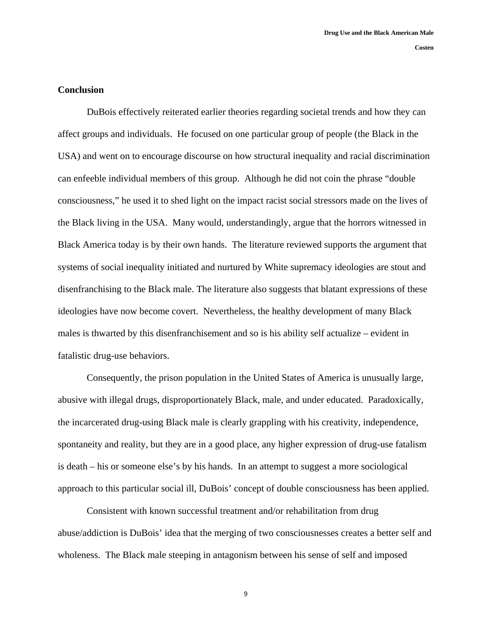## **Conclusion**

DuBois effectively reiterated earlier theories regarding societal trends and how they can affect groups and individuals. He focused on one particular group of people (the Black in the USA) and went on to encourage discourse on how structural inequality and racial discrimination can enfeeble individual members of this group. Although he did not coin the phrase "double consciousness," he used it to shed light on the impact racist social stressors made on the lives of the Black living in the USA. Many would, understandingly, argue that the horrors witnessed in Black America today is by their own hands. The literature reviewed supports the argument that systems of social inequality initiated and nurtured by White supremacy ideologies are stout and disenfranchising to the Black male. The literature also suggests that blatant expressions of these ideologies have now become covert. Nevertheless, the healthy development of many Black males is thwarted by this disenfranchisement and so is his ability self actualize – evident in fatalistic drug-use behaviors.

Consequently, the prison population in the United States of America is unusually large, abusive with illegal drugs, disproportionately Black, male, and under educated. Paradoxically, the incarcerated drug-using Black male is clearly grappling with his creativity, independence, spontaneity and reality, but they are in a good place, any higher expression of drug-use fatalism is death – his or someone else's by his hands. In an attempt to suggest a more sociological approach to this particular social ill, DuBois' concept of double consciousness has been applied.

Consistent with known successful treatment and/or rehabilitation from drug abuse/addiction is DuBois' idea that the merging of two consciousnesses creates a better self and wholeness. The Black male steeping in antagonism between his sense of self and imposed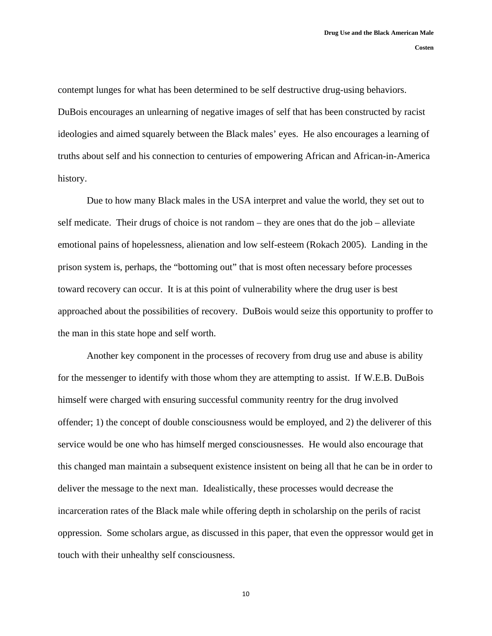contempt lunges for what has been determined to be self destructive drug-using behaviors. DuBois encourages an unlearning of negative images of self that has been constructed by racist ideologies and aimed squarely between the Black males' eyes. He also encourages a learning of truths about self and his connection to centuries of empowering African and African-in-America history.

Due to how many Black males in the USA interpret and value the world, they set out to self medicate. Their drugs of choice is not random – they are ones that do the job – alleviate emotional pains of hopelessness, alienation and low self-esteem (Rokach 2005). Landing in the prison system is, perhaps, the "bottoming out" that is most often necessary before processes toward recovery can occur. It is at this point of vulnerability where the drug user is best approached about the possibilities of recovery. DuBois would seize this opportunity to proffer to the man in this state hope and self worth.

Another key component in the processes of recovery from drug use and abuse is ability for the messenger to identify with those whom they are attempting to assist. If W.E.B. DuBois himself were charged with ensuring successful community reentry for the drug involved offender; 1) the concept of double consciousness would be employed, and 2) the deliverer of this service would be one who has himself merged consciousnesses. He would also encourage that this changed man maintain a subsequent existence insistent on being all that he can be in order to deliver the message to the next man. Idealistically, these processes would decrease the incarceration rates of the Black male while offering depth in scholarship on the perils of racist oppression. Some scholars argue, as discussed in this paper, that even the oppressor would get in touch with their unhealthy self consciousness.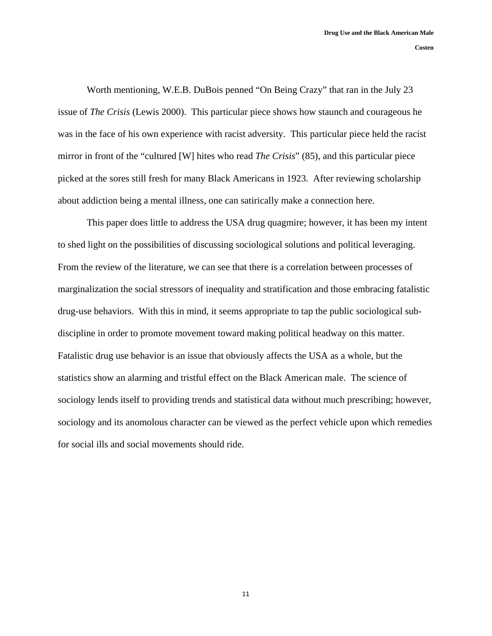Worth mentioning, W.E.B. DuBois penned "On Being Crazy" that ran in the July 23 issue of *The Crisis* (Lewis 2000). This particular piece shows how staunch and courageous he was in the face of his own experience with racist adversity. This particular piece held the racist mirror in front of the "cultured [W] hites who read *The Crisis*" (85), and this particular piece picked at the sores still fresh for many Black Americans in 1923. After reviewing scholarship about addiction being a mental illness, one can satirically make a connection here.

This paper does little to address the USA drug quagmire; however, it has been my intent to shed light on the possibilities of discussing sociological solutions and political leveraging. From the review of the literature, we can see that there is a correlation between processes of marginalization the social stressors of inequality and stratification and those embracing fatalistic drug-use behaviors. With this in mind, it seems appropriate to tap the public sociological subdiscipline in order to promote movement toward making political headway on this matter. Fatalistic drug use behavior is an issue that obviously affects the USA as a whole, but the statistics show an alarming and tristful effect on the Black American male. The science of sociology lends itself to providing trends and statistical data without much prescribing; however, sociology and its anomolous character can be viewed as the perfect vehicle upon which remedies for social ills and social movements should ride.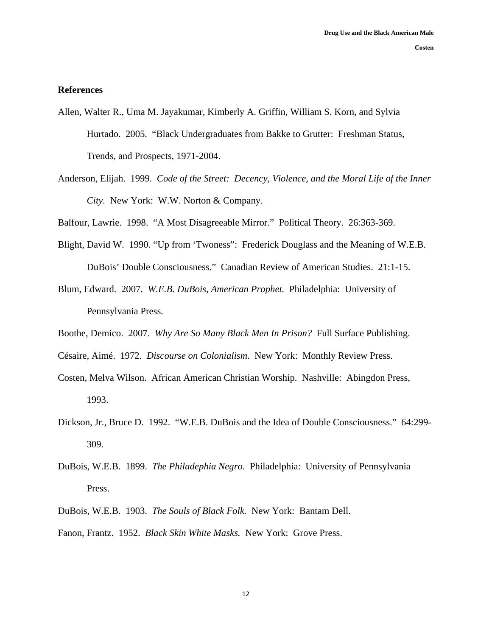### **References**

- Allen, Walter R., Uma M. Jayakumar, Kimberly A. Griffin, William S. Korn, and Sylvia Hurtado. 2005. "Black Undergraduates from Bakke to Grutter: Freshman Status, Trends, and Prospects, 1971-2004.
- Anderson, Elijah. 1999. *Code of the Street: Decency, Violence, and the Moral Life of the Inner City.* New York: W.W. Norton & Company.

Balfour, Lawrie. 1998. "A Most Disagreeable Mirror." Political Theory. 26:363-369.

- Blight, David W. 1990. "Up from 'Twoness": Frederick Douglass and the Meaning of W.E.B. DuBois' Double Consciousness." Canadian Review of American Studies. 21:1-15.
- Blum, Edward. 2007. *W.E.B. DuBois, American Prophet.* Philadelphia: University of Pennsylvania Press.
- Boothe, Demico. 2007. *Why Are So Many Black Men In Prison?* Full Surface Publishing.
- Césaire, Aimé. 1972. *Discourse on Colonialism*. New York: Monthly Review Press.
- Costen, Melva Wilson. African American Christian Worship. Nashville: Abingdon Press, 1993.
- Dickson, Jr., Bruce D. 1992. "W.E.B. DuBois and the Idea of Double Consciousness." 64:299- 309.
- DuBois, W.E.B. 1899. *The Philadephia Negro.* Philadelphia: University of Pennsylvania Press.
- DuBois, W.E.B. 1903. *The Souls of Black Folk.* New York: Bantam Dell.
- Fanon, Frantz. 1952. *Black Skin White Masks.* New York: Grove Press.